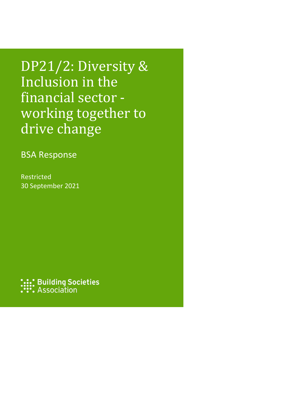DP21/2: Diversity & Inclusion in the financial sector working together to drive change

BSA Response

Restricted 30 September 2021

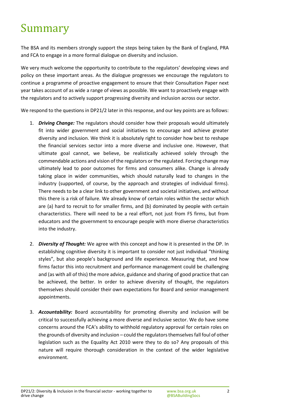# Summary

The BSA and its members strongly support the steps being taken by the Bank of England, PRA and FCA to engage in a more formal dialogue on diversity and inclusion.

We very much welcome the opportunity to contribute to the regulators' developing views and policy on these important areas. As the dialogue progresses we encourage the regulators to continue a programme of proactive engagement to ensure that their Consultation Paper next year takes account of as wide a range of views as possible. We want to proactively engage with the regulators and to actively support progressing diversity and inclusion across our sector.

We respond to the questions in DP21/2 later in this response, and our key points are as follows:

- 1. *Driving Change:* The regulators should consider how their proposals would ultimately fit into wider government and social initiatives to encourage and achieve greater diversity and inclusion. We think it is absolutely right to consider how best to reshape the financial services sector into a more diverse and inclusive one. However, that ultimate goal cannot, we believe, be realistically achieved solely through the commendable actions and vision of the regulators or the regulated. Forcing change may ultimately lead to poor outcomes for firms and consumers alike. Change is already taking place in wider communities, which should naturally lead to changes in the industry (supported, of course, by the approach and strategies of individual firms). There needs to be a clear link to other government and societal initiatives, and without this there is a risk of failure. We already know of certain roles within the sector which are (a) hard to recruit to for smaller firms, and (b) dominated by people with certain characteristics. There will need to be a real effort, not just from FS firms, but from educators and the government to encourage people with more diverse characteristics into the industry.
- 2. *Diversity of Thought:* We agree with this concept and how it is presented in the DP. In establishing cognitive diversity it is important to consider not just individual "thinking styles", but also people's background and life experience. Measuring that, and how firms factor this into recruitment and performance management could be challenging and (as with all of this) the more advice, guidance and sharing of good practice that can be achieved, the better. In order to achieve diversity of thought, the regulators themselves should consider their own expectations for Board and senior management appointments.
- 3. *Accountability:* Board accountability for promoting diversity and inclusion will be critical to successfully achieving a more diverse and inclusive sector. We do have some concerns around the FCA's ability to withhold regulatory approval for certain roles on the grounds of diversity and inclusion – could the regulators themselves fall foul of other legislation such as the Equality Act 2010 were they to do so? Any proposals of this nature will require thorough consideration in the context of the wider legislative environment.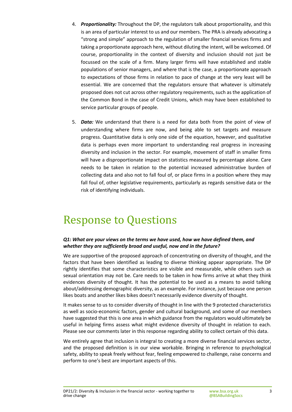- 4. *Proportionality:* Throughout the DP, the regulators talk about proportionality, and this is an area of particular interest to us and our members. The PRA is already advocating a "strong and simple" approach to the regulation of smaller financial services firms and taking a proportionate approach here, without diluting the intent, will be welcomed. Of course, proportionality in the context of diversity and inclusion should not just be focussed on the scale of a firm. Many larger firms will have established and stable populations of senior managers, and where that is the case, a proportionate approach to expectations of those firms in relation to pace of change at the very least will be essential. We are concerned that the regulators ensure that whatever is ultimately proposed does not cut across other regulatory requirements, such as the application of the Common Bond in the case of Credit Unions, which may have been established to service particular groups of people.
- 5. *Data:* We understand that there is a need for data both from the point of view of understanding where firms are now, and being able to set targets and measure progress. Quantitative data is only one side of the equation, however, and qualitative data is perhaps even more important to understanding real progress in increasing diversity and inclusion in the sector. For example, movement of staff in smaller firms will have a disproportionate impact on statistics measured by percentage alone. Care needs to be taken in relation to the potential increased administrative burden of collecting data and also not to fall foul of, or place firms in a position where they may fall foul of, other legislative requirements, particularly as regards sensitive data or the risk of identifying individuals.

## Response to Questions

#### *Q1: What are your views on the terms we have used, how we have defined them, and whether they are sufficiently broad and useful, now and in the future?*

We are supportive of the proposed approach of concentrating on diversity of thought, and the factors that have been identified as leading to diverse thinking appear appropriate. The DP rightly identifies that some characteristics are visible and measurable, while others such as sexual orientation may not be. Care needs to be taken in how firms arrive at what they think evidences diversity of thought. It has the potential to be used as a means to avoid talking about/addressing demographic diversity, as an example. For instance, just because one person likes boats and another likes bikes doesn't necessarily evidence diversity of thought.

It makes sense to us to consider diversity of thought in line with the 9 protected characteristics as well as socio-economic factors, gender and cultural background, and some of our members have suggested that this is one area in which guidance from the regulators would ultimately be useful in helping firms assess what might evidence diversity of thought in relation to each. Please see our comments later in this response regarding ability to collect certain of this data.

We entirely agree that inclusion is integral to creating a more diverse financial services sector, and the proposed definition is in our view workable. Bringing in reference to psychological safety, ability to speak freely without fear, feeling empowered to challenge, raise concerns and perform to one's best are important aspects of this.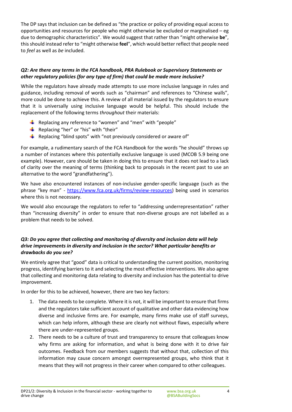The DP says that inclusion can be defined as "the practice or policy of providing equal access to opportunities and resources for people who might otherwise be excluded or marginalised – eg due to demographic characteristics". We would suggest that rather than "might otherwise **be**", this should instead refer to "might otherwise **feel**", which would better reflect that people need to *feel* as well as *be* included.

#### *Q2: Are there any terms in the FCA handbook, PRA Rulebook or Supervisory Statements or other regulatory policies (for any type of firm) that could be made more inclusive?*

While the regulators have already made attempts to use more inclusive language in rules and guidance, including removal of words such as "chairman" and references to "Chinese walls", more could be done to achieve this. A review of all material issued by the regulators to ensure that it is universally using inclusive language would be helpful. This should include the replacement of the following terms *throughout* their materials:

- **E** Replacing any reference to "women" and "men" with "people"
- Replacing "her" or "his" with "their"
- Replacing "blind spots" with "not previously considered or aware of"

For example, a rudimentary search of the FCA Handbook for the words "he should" throws up a number of instances where this potentially exclusive language is used (MCOB 5.9 being one example). However, care should be taken in doing this to ensure that it does not lead to a lack of clarity over the meaning of terms (thinking back to proposals in the recent past to use an alternative to the word "grandfathering").

We have also encountered instances of non-inclusive gender-specific language (such as the phrase "key man" - [https://www.fca.org.uk/firms/review-resources\)](https://www.fca.org.uk/firms/review-resources) being used in scenarios where this is not necessary.

We would also encourage the regulators to refer to "addressing underrepresentation" rather than "increasing diversity" in order to ensure that non-diverse groups are not labelled as a problem that needs to be solved.

#### *Q3: Do you agree that collecting and monitoring of diversity and inclusion data will help drive improvements in diversity and inclusion in the sector? What particular benefits or drawbacks do you see?*

We entirely agree that "good" data is critical to understanding the current position, monitoring progress, identifying barriers to it and selecting the most effective interventions. We also agree that collecting and monitoring data relating to diversity and inclusion has the potential to drive improvement.

In order for this to be achieved, however, there are two key factors:

- 1. The data needs to be complete. Where it is not, it will be important to ensure that firms and the regulators take sufficient account of qualitative and other data evidencing how diverse and inclusive firms are. For example, many firms make use of staff surveys, which can help inform, although these are clearly not without flaws, especially where there are under-represented groups.
- 2. There needs to be a culture of trust and transparency to ensure that colleagues know why firms are asking for information, and what is being done with it to drive fair outcomes. Feedback from our members suggests that without that, collection of this information may cause concern amongst overrepresented groups, who think that it means that they will not progress in their career when compared to other colleagues.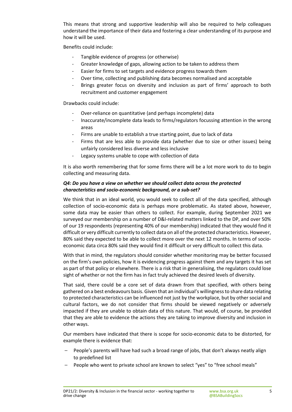This means that strong and supportive leadership will also be required to help colleagues understand the importance of their data and fostering a clear understanding of its purpose and how it will be used.

Benefits could include:

- Tangible evidence of progress (or otherwise)
- Greater knowledge of gaps, allowing action to be taken to address them
- Easier for firms to set targets and evidence progress towards them
- Over time, collecting and publishing data becomes normalised and acceptable
- Brings greater focus on diversity and inclusion as part of firms' approach to both recruitment and customer engagement

Drawbacks could include:

- Over-reliance on quantitative (and perhaps incomplete) data
- Inaccurate/incomplete data leads to firms/regulators focussing attention in the wrong areas
- Firms are unable to establish a true starting point, due to lack of data
- Firms that are less able to provide data (whether due to size or other issues) being unfairly considered less diverse and less inclusive
- Legacy systems unable to cope with collection of data

It is also worth remembering that for some firms there will be a lot more work to do to begin collecting and measuring data.

#### *Q4: Do you have a view on whether we should collect data across the protected characteristics and socio-economic background, or a sub-set?*

We think that in an ideal world, you would seek to collect all of the data specified, although collection of socio-economic data is perhaps more problematic. As stated above, however, some data may be easier than others to collect. For example, during September 2021 we surveyed our membership on a number of D&I-related matters linked to the DP, and over 50% of our 19 respondents (representing 40% of our membership) indicated that they would find it difficult or very difficult currently to collect data on all of the protected characteristics. However, 80% said they expected to be able to collect more over the next 12 months. In terms of socioeconomic data circa 80% said they would find it difficult or very difficult to collect this data.

With that in mind, the regulators should consider whether monitoring may be better focussed on the firm's own policies, how it is evidencing progress against them and any targets it has set as part of that policy or elsewhere. There is a risk that in generalising, the regulators could lose sight of whether or not the firm has in fact truly achieved the desired levels of diversity.

That said, there could be a core set of data drawn from that specified, with others being gathered on a best endeavours basis. Given that an individual's willingness to share data relating to protected characteristics can be influenced not just by the workplace, but by other social and cultural factors, we do not consider that firms should be viewed negatively or adversely impacted if they are unable to obtain data of this nature. That would, of course, be provided that they are able to evidence the actions they are taking to improve diversity and inclusion in other ways.

Our members have indicated that there is scope for socio-economic data to be distorted, for example there is evidence that:

- People's parents will have had such a broad range of jobs, that don't always neatly align to predefined list
- People who went to private school are known to select "yes" to "free school meals"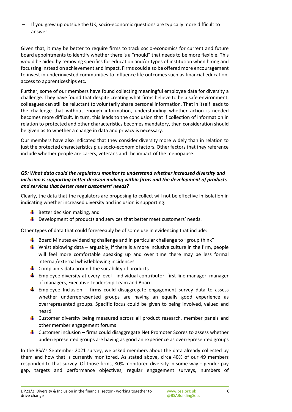– If you grew up outside the UK, socio-economic questions are typically more difficult to answer

Given that, it may be better to require firms to track socio-economics for current and future board appointments to identify whether there is a "mould" that needs to be more flexible. This would be aided by removing specifics for education and/or types of institution when hiring and focussing instead on achievement and impact. Firms could also be offered more encouragement to invest in underinvested communities to influence life outcomes such as financial education, access to apprenticeships etc.

Further, some of our members have found collecting meaningful employee data for diversity a challenge. They have found that despite creating what firms believe to be a safe environment, colleagues can still be reluctant to voluntarily share personal information. That in itself leads to the challenge that without enough information, understanding whether action is needed becomes more difficult. In turn, this leads to the conclusion that if collection of information in relation to protected and other characteristics becomes mandatory, then consideration should be given as to whether a change in data and privacy is necessary.

Our members have also indicated that they consider diversity more widely than in relation to just the protected characteristics plus socio-economic factors. Other factors that they reference include whether people are carers, veterans and the impact of the menopause.

#### *Q5: What data could the regulators monitor to understand whether increased diversity and inclusion is supporting better decision making within firms and the development of products and services that better meet customers' needs?*

Clearly, the data that the regulators are proposing to collect will not be effective in isolation in indicating whether increased diversity and inclusion is supporting:

- $\bigstar$  Better decision making, and
- $\bigstar$  Development of products and services that better meet customers' needs.

Other types of data that could foreseeably be of some use in evidencing that include:

- $\frac{1}{2}$  Board Minutes evidencing challenge and in particular challenge to "group think"
- Whistleblowing data arguably, if there is a more inclusive culture in the firm, people will feel more comfortable speaking up and over time there may be less formal internal/external whistleblowing incidences
- $\Box$  Complaints data around the suitability of products
- **Employee diversity at every level individual contributor, first line manager, manager** of managers, Executive Leadership Team and Board
- **Employee Inclusion firms could disaggregate engagement survey data to assess** whether underrepresented groups are having an equally good experience as overrepresented groups. Specific focus could be given to being involved, valued and heard
- Customer diversity being measured across all product research, member panels and other member engagement forums
- $\frac{1}{2}$  Customer inclusion firms could disaggregate Net Promoter Scores to assess whether underrepresented groups are having as good an experience as overrepresented groups

In the BSA's September 2021 survey, we asked members about the data already collected by them and how that is currently monitored. As stated above, circa 40% of our 49 members responded to that survey. Of those firms, 80% monitored diversity in some way – gender pay gap, targets and performance objectives, regular engagement surveys, numbers of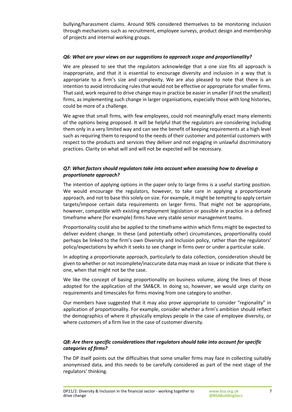bullying/harassment claims. Around 90% considered themselves to be monitoring inclusion through mechanisms such as recruitment, employee surveys, product design and membership of projects and internal working groups.

#### *Q6: What are your views on our suggestions to approach scope and proportionality?*

We are pleased to see that the regulators acknowledge that a one size fits all approach is inappropriate, and that it is essential to encourage diversity and inclusion in a way that is appropriate to a firm's size and complexity. We are also pleased to note that there is an intention to avoid introducing rules that would not be effective or appropriate for smaller firms. That said, work required to drive change may in practice be easier in smaller (if not the smallest) firms, as implementing such change in larger organisations, especially those with long histories, could be more of a challenge.

We agree that small firms, with few employees, could not meaningfully enact many elements of the options being proposed. It will be helpful that the regulators are considering including them only in a very limited way and can see the benefit of keeping requirements at a high level such as requiring them to respond to the needs of their customer and potential customers with respect to the products and services they deliver and not engaging in unlawful discriminatory practices. Clarity on what will and will not be expected will be necessary.

#### *Q7: What factors should regulators take into account when assessing how to develop a proportionate approach?*

The intention of applying options in the paper only to large firms is a useful starting position. We would encourage the regulators, however, to take care in applying a proportionate approach, and not to base this solely on size. For example, it might be tempting to apply certain targets/impose certain data requirements on larger firms. That might not be appropriate, however, compatible with existing employment legislation or possible in practice in a defined timeframe where (for example) firms have very stable senior management teams.

Proportionality could also be applied to the timeframe within which firms might be expected to deliver evident change. In these (and potentially other) circumstances, proportionality could perhaps be linked to the firm's own Diversity and Inclusion policy, rather than the regulators' policy/expectations by which it seeks to see change in firms over or under a particular scale.

In adopting a proportionate approach, particularly to data collection, consideration should be given to whether or not incomplete/inaccurate data may mask an issue or indicate that there is one, when that might not be the case.

We like the concept of basing proportionality on business volume, along the lines of those adopted for the application of the SM&CR. In doing so, however, we would urge clarity on requirements and timescales for firms moving from one category to another.

Our members have suggested that it may also prove appropriate to consider "regionality" in application of proportionality. For example, consider whether a firm's ambition should reflect the demographics of where it physically employs people in the case of employee diversity, or where customers of a firm live in the case of customer diversity.

#### *Q8: Are there specific considerations that regulators should take into account for specific categories of firms?*

The DP itself points out the difficulties that some smaller firms may face in collecting suitably anonymised data, and this needs to be carefully considered as part of the next stage of the regulators' thinking.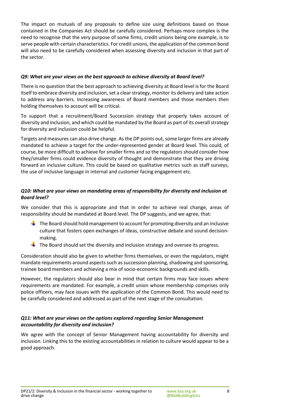The impact on mutuals of any proposals to define size using definitions based on those contained in the Companies Act should be carefully considered. Perhaps more complex is the need to recognise that the very purpose of some firms, credit unions being one example, is to serve people with certain characteristics. For credit unions, the application of the common bond will also need to be carefully considered when assessing diversity and inclusion in that part of the sector.

#### *Q9: What are your views on the best approach to achieve diversity at Board level?*

There is no question that the best approach to achieving diversity at Board level is for the Board itself to embrace diversity and inclusion, set a clear strategy, monitor its delivery and take action to address any barriers. Increasing awareness of Board members and those members then holding themselves to account will be critical.

To support that a recruitment/Board Succession strategy that properly takes account of diversity and inclusion, and which could be mandated by the Board as part of its overall strategy for diversity and inclusion could be helpful.

Targets and measures can also drive change. As the DP points out, some larger firms are already mandated to achieve a target for the under-represented gender at Board level. This could, of course, be more difficult to achieve for smaller firms and so the regulators should consider how they/smaller firms could evidence diversity of thought and demonstrate that they are driving forward an inclusive culture. This could be based on qualitative metrics such as staff surveys, the use of inclusive language in internal and customer facing engagement etc.

#### *Q10: What are your views on mandating areas of responsibility for diversity and inclusion at Board level?*

We consider that this is appropriate and that in order to achieve real change, areas of responsibility should be mandated at Board level. The DP suggests, and we agree, that:

- $\frac{1}{\sqrt{2}}$  The Board should hold management to account for promoting diversity and an inclusive culture that fosters open exchanges of ideas, constructive debate and sound decisionmaking.
- $\frac{1}{2}$  The Board should set the diversity and inclusion strategy and oversee its progress.

Consideration should also be given to whether firms themselves, or even the regulators, might mandate requirements around aspects such as succession planning, shadowing and sponsoring, trainee board members and achieving a mix of socio-economic backgrounds and skills.

However, the regulators should also bear in mind that certain firms may face issues where requirements are mandated. For example, a credit union whose membership comprises only police officers, may face issues with the application of the Common Bond. This would need to be carefully considered and addressed as part of the next stage of the consultation.

#### *Q11: What are your views on the options explored regarding Senior Management accountability for diversity and inclusion?*

We agree with the concept of Senior Management having accountability for diversity and inclusion. Linking this to the existing accountabilities in relation to culture would appear to be a good approach.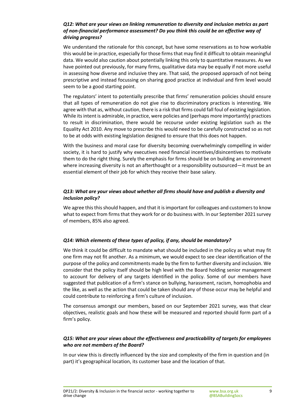#### *Q12: What are your views on linking remuneration to diversity and inclusion metrics as part of non-financial performance assessment? Do you think this could be an effective way of driving progress?*

We understand the rationale for this concept, but have some reservations as to how workable this would be in practice, especially for those firms that may find it difficult to obtain meaningful data. We would also caution about potentially linking this only to quantitative measures. As we have pointed out previously, for many firms, qualitative data may be equally if not more useful in assessing how diverse and inclusive they are. That said, the proposed approach of not being prescriptive and instead focussing on sharing good practice at individual and firm level would seem to be a good starting point.

The regulators' intent to potentially prescribe that firms' remuneration policies should ensure that all types of remuneration do not give rise to discriminatory practices is interesting. We agree with that as, without caution, there is a risk that firms could fall foul of existing legislation. While its intent is admirable, in practice, were policies and (perhaps more importantly) practices to result in discrimination, there would be recourse under existing legislation such as the Equality Act 2010. Any move to prescribe this would need to be carefully constructed so as not to be at odds with existing legislation designed to ensure that this does not happen.

With the business and moral case for diversity becoming overwhelmingly compelling in wider society, it is hard to justify why executives need financial incentives/disincentives to motivate them to do the right thing. Surely the emphasis for firms should be on building an environment where increasing diversity is not an afterthought or a responsibility outsourced—it must be an essential element of their job for which they receive their base salary.

#### *Q13: What are your views about whether all firms should have and publish a diversity and inclusion policy?*

We agree this this should happen, and that it is important for colleagues and customers to know what to expect from firms that they work for or do business with. In our September 2021 survey of members, 85% also agreed.

#### *Q14: Which elements of these types of policy, if any, should be mandatory?*

We think it could be difficult to mandate what should be included in the policy as what may fit one firm may not fit another. As a minimum, we would expect to see clear identification of the purpose of the policy and commitments made by the firm to further diversity and inclusion. We consider that the policy itself should be high level with the Board holding senior management to account for delivery of any targets identified in the policy. Some of our members have suggested that publication of a firm's stance on bullying, harassment, racism, homophobia and the like, as well as the action that could be taken should any of those occur may be helpful and could contribute to reinforcing a firm's culture of inclusion.

The consensus amongst our members, based on our September 2021 survey, was that clear objectives, realistic goals and how these will be measured and reported should form part of a firm's policy.

#### *Q15: What are your views about the effectiveness and practicability of targets for employees who are not members of the Board?*

In our view this is directly influenced by the size and complexity of the firm in question and (in part) it's geographical location, its customer base and the location of that.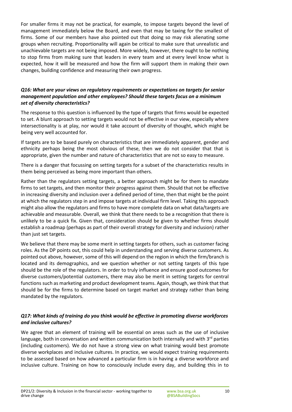For smaller firms it may not be practical, for example, to impose targets beyond the level of management immediately below the Board, and even that may be taxing for the smallest of firms. Some of our members have also pointed out that doing so may risk alienating some groups when recruiting. Proportionality will again be critical to make sure that unrealistic and unachievable targets are not being imposed. More widely, however, there ought to be nothing to stop firms from making sure that leaders in every team and at every level know what is expected, how it will be measured and how the firm will support them in making their own changes, building confidence and measuring their own progress.

#### *Q16: What are your views on regulatory requirements or expectations on targets for senior management population and other employees? Should these targets focus on a minimum set of diversity characteristics?*

The response to this question is influenced by the type of targets that firms would be expected to set. A blunt approach to setting targets would not be effective in our view, especially where intersectionality is at play, nor would it take account of diversity of thought, which might be being very well accounted for.

If targets are to be based purely on characteristics that are immediately apparent, gender and ethnicity perhaps being the most obvious of these, then we do not consider that that is appropriate, given the number and nature of characteristics that are not so easy to measure.

There is a danger that focussing on setting targets for a subset of the characteristics results in them being perceived as being more important than others.

Rather than the regulators setting targets, a better approach might be for them to mandate firms to set targets, and then monitor their progress against them. Should that not be effective in increasing diversity and inclusion over a defined period of time, then that might be the point at which the regulators step in and impose targets at individual firm level. Taking this approach might also allow the regulators and firms to have more complete data on what data/targets are achievable and measurable. Overall, we think that there needs to be a recognition that there is unlikely to be a quick fix. Given that, consideration should be given to whether firms should establish a roadmap (perhaps as part of their overall strategy for diversity and inclusion) rather than just set targets.

We believe that there may be some merit in setting targets for others, such as customer facing roles. As the DP points out, this could help in understanding and serving diverse customers. As pointed out above, however, some of this will depend on the region in which the firm/branch is located and its demographics, and we question whether or not setting targets of this type should be the role of the regulators. In order to truly influence and ensure good outcomes for diverse customers/potential customers, there may also be merit in setting targets for central functions such as marketing and product development teams. Again, though, we think that that should be for the firms to determine based on target market and strategy rather than being mandated by the regulators.

#### *Q17: What kinds of training do you think would be effective in promoting diverse workforces and inclusive cultures?*

We agree that an element of training will be essential on areas such as the use of inclusive language, both in conversation and written communication both internally and with  $3<sup>rd</sup>$  parties (including customers). We do not have a strong view on what training would best promote diverse workplaces and inclusive cultures. In practice, we would expect training requirements to be assessed based on how advanced a particular firm is in having a diverse workforce and inclusive culture. Training on how to consciously include every day, and building this in to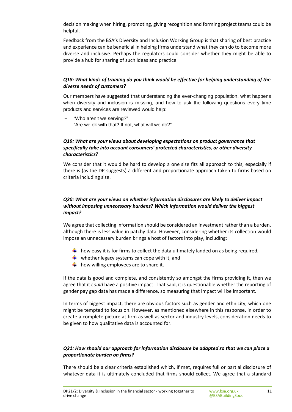decision making when hiring, promoting, giving recognition and forming project teams could be helpful.

Feedback from the BSA's Diversity and Inclusion Working Group is that sharing of best practice and experience can be beneficial in helping firms understand what they can do to become more diverse and inclusive. Perhaps the regulators could consider whether they might be able to provide a hub for sharing of such ideas and practice.

#### *Q18: What kinds of training do you think would be effective for helping understanding of the diverse needs of customers?*

Our members have suggested that understanding the ever-changing population, what happens when diversity and inclusion is missing, and how to ask the following questions every time products and services are reviewed would help:

- "Who aren't we serving?"
- "Are we ok with that? If not, what will we do?"

#### *Q19: What are your views about developing expectations on product governance that specifically take into account consumers' protected characteristics, or other diversity characteristics?*

We consider that it would be hard to develop a one size fits all approach to this, especially if there is (as the DP suggests) a different and proportionate approach taken to firms based on criteria including size.

#### *Q20: What are your views on whether information disclosures are likely to deliver impact without imposing unnecessary burdens? Which information would deliver the biggest impact?*

We agree that collecting information should be considered an investment rather than a burden, although there is less value in patchy data. However, considering whether its collection would impose an unnecessary burden brings a host of factors into play, including:

- $\frac{1}{2}$  how easy it is for firms to collect the data ultimately landed on as being required,
- $\frac{1}{2}$  whether legacy systems can cope with it, and
- $\frac{1}{2}$  how willing employees are to share it.

If the data is good and complete, and consistently so amongst the firms providing it, then we agree that it *could* have a positive impact. That said, it is questionable whether the reporting of gender pay gap data has made a difference, so measuring that impact will be important.

In terms of biggest impact, there are obvious factors such as gender and ethnicity, which one might be tempted to focus on. However, as mentioned elsewhere in this response, in order to create a complete picture at firm as well as sector and industry levels, consideration needs to be given to how qualitative data is accounted for.

#### *Q21: How should our approach for information disclosure be adapted so that we can place a proportionate burden on firms?*

There should be a clear criteria established which, if met, requires full or partial disclosure of whatever data it is ultimately concluded that firms should collect. We agree that a standard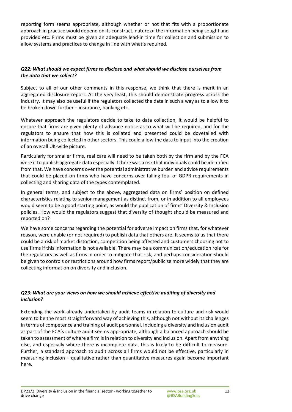reporting form seems appropriate, although whether or not that fits with a proportionate approach in practice would depend on its construct, nature of the information being sought and provided etc. Firms must be given an adequate lead-in time for collection and submission to allow systems and practices to change in line with what's required.

#### *Q22: What should we expect firms to disclose and what should we disclose ourselves from the data that we collect?*

Subject to all of our other comments in this response, we think that there is merit in an aggregated disclosure report. At the very least, this should demonstrate progress across the industry. It may also be useful if the regulators collected the data in such a way as to allow it to be broken down further – insurance, banking etc.

Whatever approach the regulators decide to take to data collection, it would be helpful to ensure that firms are given plenty of advance notice as to what will be required, and for the regulators to ensure that how this is collated and presented could be dovetailed with information being collected in other sectors. This could allow the data to input into the creation of an overall UK-wide picture.

Particularly for smaller firms, real care will need to be taken both by the firm and by the FCA were it to publish aggregate data especially if there was a risk that individuals could be identified from that. We have concerns over the potential administrative burden and advice requirements that could be placed on firms who have concerns over falling foul of GDPR requirements in collecting and sharing data of the types contemplated.

In general terms, and subject to the above, aggregated data on firms' position on defined characteristics relating to senior management as distinct from, or in addition to all employees would seem to be a good starting point, as would the publication of firms' Diversity & Inclusion policies. How would the regulators suggest that diversity of thought should be measured and reported on?

We have some concerns regarding the potential for adverse impact on firms that, for whatever reason, were unable (or not required) to publish data that others are. It seems to us that there could be a risk of market distortion, competition being affected and customers choosing not to use firms if this information is not available. There may be a communication/education role for the regulators as well as firms in order to mitigate that risk, and perhaps consideration should be given to controls or restrictions around how firms report/publicise more widely that they are collecting information on diversity and inclusion.

#### *Q23: What are your views on how we should achieve effective auditing of diversity and inclusion?*

Extending the work already undertaken by audit teams in relation to culture and risk would seem to be the most straightforward way of achieving this, although not without its challenges in terms of competence and training of audit personnel. Including a diversity and inclusion audit as part of the FCA's culture audit seems appropriate, although a balanced approach should be taken to assessment of where a firm is in relation to diversity and inclusion. Apart from anything else, and especially where there is incomplete data, this is likely to be difficult to measure. Further, a standard approach to audit across all firms would not be effective, particularly in measuring inclusion – qualitative rather than quantitative measures again become important here.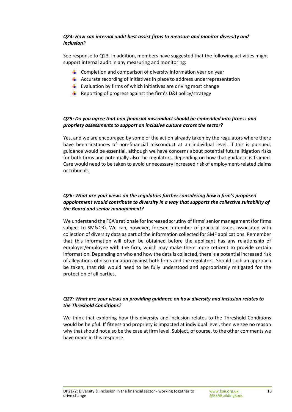#### *Q24: How can internal audit best assist firms to measure and monitor diversity and inclusion?*

See response to Q23. In addition, members have suggested that the following activities might support internal audit in any measuring and monitoring:

- $\frac{1}{2}$  Completion and comparison of diversity information year on year
- $\frac{1}{2}$  Accurate recording of initiatives in place to address underrepresentation
- **E** Evaluation by firms of which initiatives are driving most change
- Reporting of progress against the firm's D&I policy/strategy

#### *Q25: Do you agree that non-financial misconduct should be embedded into fitness and propriety assessments to support an inclusive culture across the sector?*

Yes, and we are encouraged by some of the action already taken by the regulators where there have been instances of non-financial misconduct at an individual level. If this is pursued, guidance would be essential, although we have concerns about potential future litigation risks for both firms and potentially also the regulators, depending on how that guidance is framed. Care would need to be taken to avoid unnecessary increased risk of employment-related claims or tribunals.

#### *Q26: What are your views on the regulators further considering how a firm's proposed appointment would contribute to diversity in a way that supports the collective suitability of the Board and senior management?*

We understand the FCA's rationale for increased scrutiny of firms' senior management (for firms subject to SM&CR). We can, however, foresee a number of practical issues associated with collection of diversity data as part of the information collected for SMF applications. Remember that this information will often be obtained before the applicant has any relationship of employer/employee with the firm, which may make them more reticent to provide certain information. Depending on who and how the data is collected, there is a potential increased risk of allegations of discrimination against both firms and the regulators. Should such an approach be taken, that risk would need to be fully understood and appropriately mitigated for the protection of all parties.

#### *Q27: What are your views on providing guidance on how diversity and inclusion relates to the Threshold Conditions?*

We think that exploring how this diversity and inclusion relates to the Threshold Conditions would be helpful. If fitness and propriety is impacted at individual level, then we see no reason why that should not also be the case at firm level. Subject, of course, to the other comments we have made in this response.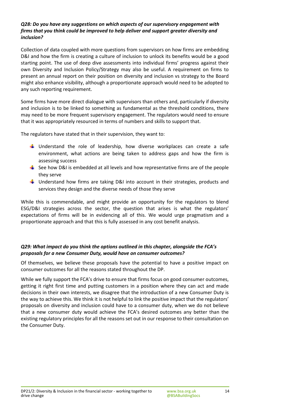#### *Q28: Do you have any suggestions on which aspects of our supervisory engagement with firms that you think could be improved to help deliver and support greater diversity and inclusion?*

Collection of data coupled with more questions from supervisors on how firms are embedding D&I and how the firm is creating a culture of inclusion to unlock its benefits would be a good starting point. The use of deep dive assessments into individual firms' progress against their own Diversity and Inclusion Policy/Strategy may also be useful. A requirement on firms to present an annual report on their position on diversity and inclusion vs strategy to the Board might also enhance visibility, although a proportionate approach would need to be adopted to any such reporting requirement.

Some firms have more direct dialogue with supervisors than others and, particularly if diversity and inclusion is to be linked to something as fundamental as the threshold conditions, there may need to be more frequent supervisory engagement. The regulators would need to ensure that it was appropriately resourced in terms of numbers and skills to support that.

The regulators have stated that in their supervision, they want to:

- $\downarrow$  Understand the role of leadership, how diverse workplaces can create a safe environment, what actions are being taken to address gaps and how the firm is assessing success
- $\frac{1}{2}$  See how D&I is embedded at all levels and how representative firms are of the people they serve
- $\frac{1}{2}$  Understand how firms are taking D&I into account in their strategies, products and services they design and the diverse needs of those they serve

While this is commendable, and might provide an opportunity for the regulators to blend ESG/D&I strategies across the sector, the question that arises is what the regulators' expectations of firms will be in evidencing all of this. We would urge pragmatism and a proportionate approach and that this is fully assessed in any cost benefit analysis.

#### *Q29: What impact do you think the options outlined in this chapter, alongside the FCA's proposals for a new Consumer Duty, would have on consumer outcomes?*

Of themselves, we believe these proposals have the potential to have a positive impact on consumer outcomes for all the reasons stated throughout the DP.

While we fully support the FCA's drive to ensure that firms focus on good consumer outcomes, getting it right first time and putting customers in a position where they can act and made decisions in their own interests, we disagree that the introduction of a new Consumer Duty is the way to achieve this. We think it is not helpful to link the positive impact that the regulators' proposals on diversity and inclusion could have to a consumer duty, when we do not believe that a new consumer duty would achieve the FCA's desired outcomes any better than the existing regulatory principles for all the reasons set out in our response to their consultation on the Consumer Duty.